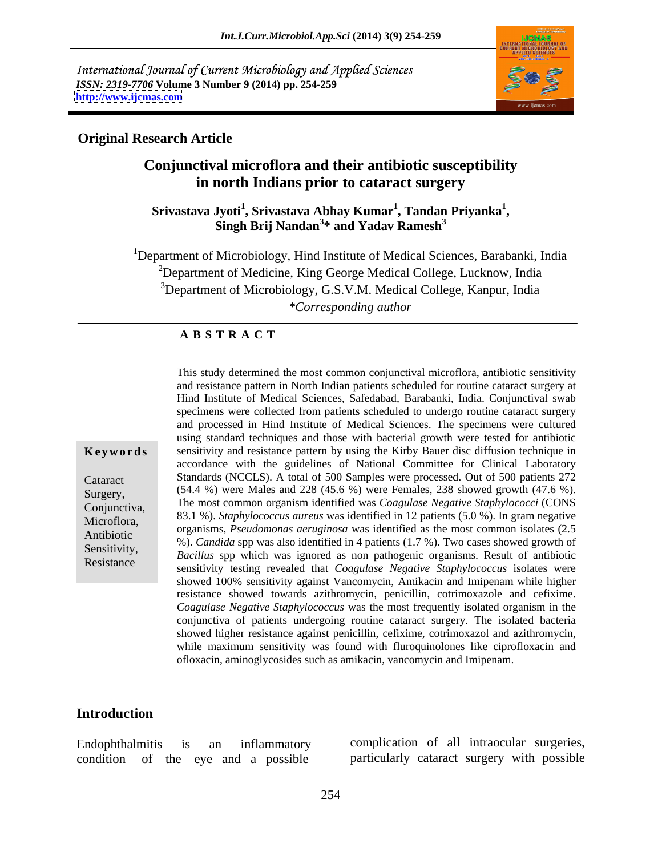International Journal of Current Microbiology and Applied Sciences *ISSN: 2319-7706* **Volume 3 Number 9 (2014) pp. 254-259 <http://www.ijcmas.com>**



# **Original Research Article**

# **Conjunctival microflora and their antibiotic susceptibility in north Indians prior to cataract surgery**

### **Srivastava Jyoti<sup>1</sup> , Srivastava Abhay Kumar<sup>1</sup> , Tandan Priyanka<sup>1</sup>** Jyoti<sup>1</sup>, Srivastava Abhay Kumar<sup>1</sup>, Tandan Priyanka<sup>1</sup>,<br>Singh Brij Nandan<sup>3</sup>\* and Yadav Ramesh<sup>3</sup>

<sup>1</sup>Department of Microbiology, Hind Institute of Medical Sciences, Barabanki, India  $2$ Department of Medicine, King George Medical College, Lucknow, India <sup>3</sup>Department of Microbiology, G.S.V.M. Medical College, Kanpur, India *\*Corresponding author* 

# **A B S T R A C T**

**Keywords** sensitivity and resistance pattern by using the Kirby Bauer disc diffusion technique in Cataract Standards (NCCLS). A total of 500 Samples were processed. Out of 500 patients 272 Surgery,  $(54.4\%)$  were Males and  $228(45.6\%)$  were Females,  $238$  showed growth  $(47.6\%)$ . Conjunctiva, The most common organism identified was *Coagulase Negative Staphylococci* (CONS Microflora, <sup>63.1</sup><sup>76</sup>). *Suphytococcus dureus* was identified in 12 patients (5.0<sup>7</sup>%). In grain negative organisms, *Pseudomonas aeruginosa* was identified as the most common isolates (2.5 Antibiotic organisms, *r* seudomonds deruginosal was identified as the most common isolates (2.5<br>Sensitivity (3.6) Candida spp was also identified in 4 patients (1.7 %). Two cases showed growth of Sensitivity,<br>*Bacillus* spp which was ignored as non pathogenic organisms. Result of antibiotic Resistance<br>
sensitivity testing revealed that *Coagulase Negative Staphylococcus* isolates were This study determined the most common conjunctival microflora, antibiotic sensitivity and resistance pattern in North Indian patients scheduled for routine cataract surgery at Hind Institute of Medical Sciences, Safedabad, Barabanki, India. Conjunctival swab specimens were collected from patients scheduled to undergo routine cataract surgery and processed in Hind Institute of Medical Sciences. The specimens were cultured using standard techniques and those with bacterial growth were tested for antibiotic accordance with the guidelines of National Committee for Clinical Laboratory 83.1 %). *Staphylococcus aureus* was identified in 12 patients (5.0 %). In gram negative showed 100% sensitivity against Vancomycin, Amikacin and Imipenam while higher resistance showed towards azithromycin, penicillin, cotrimoxazole and cefixime. *Coagulase Negative Staphylococcus* was the most frequently isolated organism in the conjunctiva of patients undergoing routine cataract surgery. The isolated bacteria showed higher resistance against penicillin, cefixime, cotrimoxazol and azithromycin, while maximum sensitivity was found with fluroquinolones like ciprofloxacin and ofloxacin, aminoglycosides such as amikacin, vancomycin and Imipenam.

# **Introduction**

condition of the eye and a possible particularly cataract surgery with possible

Endophthalmitis is an inflammatory complication of all intraocular surgeries,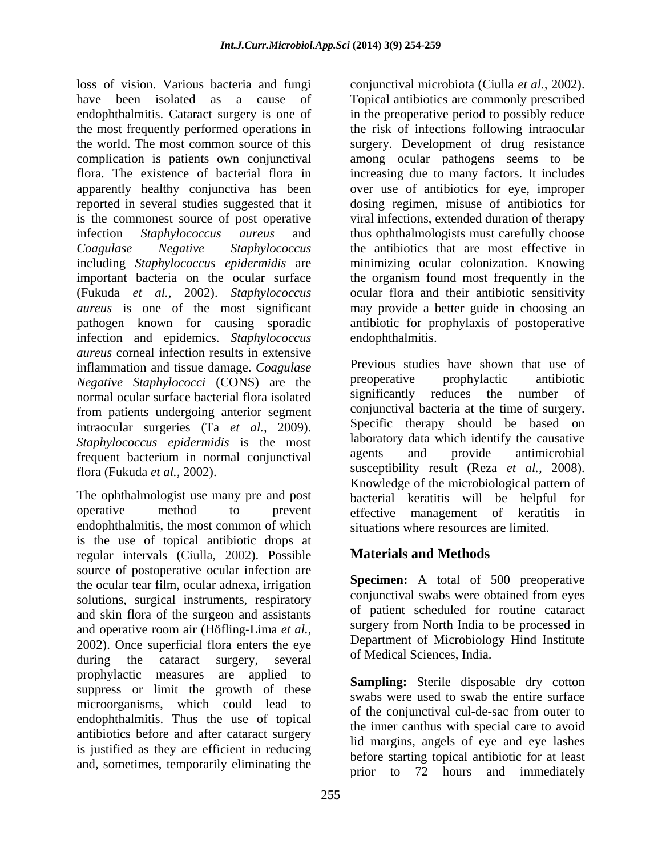loss of vision. Various bacteria and fungi conjunctival microbiota (Ciulla et al., 2002). have been isolated as a cause of Topical antibiotics are commonly prescribed endophthalmitis. Cataract surgery is one of in the preoperative period to possibly reduce the most frequently performed operations in the risk of infections following intraocular the world. The most common source of this surgery. Development of drug resistance complication is patients own conjunctival among ocular pathogens seems to be flora. The existence of bacterial flora in increasing due to many factors. It includes apparently healthy conjunctiva has been reported in several studies suggested that it dosing regimen, misuse of antibiotics for is the commonest source of post operative viral infections, extended duration of therapy infection *Staphylococcus aureus* and thus ophthalmologists must carefully choose *Coagulase Negative Staphylococcus* the antibiotics that are most effective in including *Staphylococcus epidermidis* are important bacteria on the ocular surface the organism found most frequently in the (Fukuda *et al.,* 2002). *Staphylococcus aureus* is one of the most significant pathogen known for causing sporadic antibiotic for prophylaxis of postoperative infection and epidemics. *Staphylococcus aureus* corneal infection results in extensive inflammation and tissue damage. *Coagulase* **Previous** studies have shown that use of Negative Stanbulococci (CONS) are the preoperative prophylactic antibiotic *Negative Staphylococci* (CONS) are the **preparative** prophylactic antibiotic normal ocular surface bacterial flora isolated significantly reduces the number of normal ocular surface bacterial flora isolated from patients undergoing anterior segment intraocular surgeries (Ta *et al.,* 2009). *Staphylococcus epidermidis* is the most laboratory data which identify the causative frequent bectorium in pormal conjunctivel agents and provide antimicrobial frequent bacterium in normal conjunctival

operative method to prevent effective management of keratitis in endophthalmitis, the most common of which is the use of topical antibiotic drops at regular intervals (Ciulla, 2002). Possible source of postoperative ocular infection are the ocular tear film, ocular adnexa, irrigation solutions, surgical instruments, respiratory and skin flora of the surgeon and assistants and operative room air (Höfling-Lima *et al.,* 2002). Once superficial flora enters the eye during the cataract surgery, several of Medical Sciences, india. prophylactic measures are applied to **Sompling** Starile disposable due estimate suppress or limit the growth of these microorganisms, which could lead to endophthalmitis. Thus the use of topical antibiotics before and after cataract surgery is justified as they are efficient in reducing and, sometimes, temporarily eliminating the

conjunctival microbiota (Ciulla *et al.,* 2002). Topical antibiotics are commonly prescribed over use of antibiotics for eye, improper minimizing ocular colonization. Knowing ocular flora and their antibiotic sensitivity may provide a better guide in choosing an endophthalmitis.

flora (Fukuda *et al.*, 2002).<br> **K**nowledge of the microbiological pattern of The ophthalmologist use many pre and post bacterial keratitis will be helpful for Previous studies have shown that use of preoperative prophylactic antibiotic significantly reduces the number of conjunctival bacteria at the time of surgery. Specific therapy should be based on laboratory data which identify the causative agents and provide antimicrobial susceptibility result (Reza *et al.,* 2008). Knowledge of the microbiological pattern of effective management of keratitis in situations where resources are limited.

# **Materials and Methods**

**Specimen:** A total of 500 preoperative conjunctival swabs were obtained from eyes of patient scheduled for routine cataract surgery from North India to be processed in Department of Microbiology Hind Institute of Medical Sciences, India.

**Sampling:** Sterile disposable dry cotton swabs were used to swab the entire surface of the conjunctival cul-de-sac from outer to the inner canthus with special care to avoid lid margins, angels of eye and eye lashes before starting topical antibiotic for at least prior to 72 hours and immediately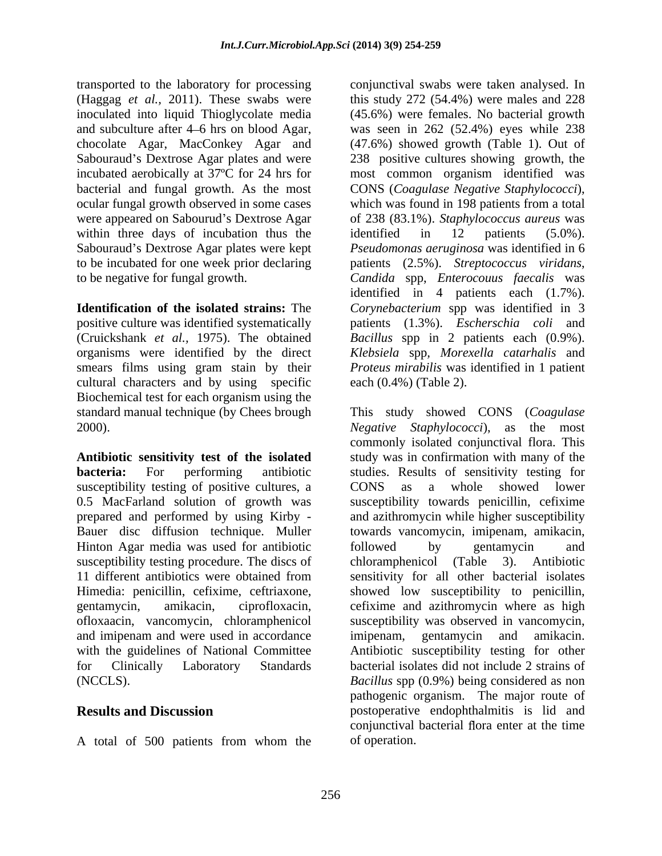transported to the laboratory for processing conjunctival swabs were taken analysed. In bacterial and fungal growth. As the most within three days of incubation thus the identified in  $12$  patients  $(5.0\%)$ . Sabouraud's Dextrose Agar plates were kept

positive culture was identified systematically (Cruickshank *et al.,* 1975). The obtained cultural characters and by using specific Biochemical test for each organism using the

susceptibility testing of positive cultures, a constant a constant a whole showed lower Hinton Agar media was used for antibiotic ofloxaacin, vancomycin, chloramphenicol and imipenam and were used in accordance imipenam, gentamycin and amikacin. with the guidelines of National Committee Antibiotic susceptibility testing for other

A total of 500 patients from whom the

(Haggag *et al.,* 2011). These swabs were this study 272 (54.4%) were males and 228 inoculated into liquid Thioglycolate media (45.6%) were females. No bacterial growth and subculture after 4–6 hrs on blood Agar, was seen in 262 (52.4%) eyes while 238 chocolate Agar, MacConkey Agar and (47.6%) showed growth (Table 1). Out of Sabouraud's Dextrose Agar plates and were 238 positive cultures showing growth, the incubated aerobically at 37ºC for 24 hrs for most common organism identified was ocular fungal growth observed in some cases which was found in 198 patients from a total were appeared on Sabourud's Dextrose Agar of 238 (83.1%). *Staphylococcus aureus* was to be incubated for one week prior declaring patients (2.5%).*Streptococcus viridans*, to be negative for fungal growth. *Candida* spp, *Enterocouus faecalis* was **Identification of the isolated strains:** The *Corynebacterium* spp was identified in 3 organisms were identified by the direct *Klebsiela* spp*, Morexella catarhalis* and smears films using gram stain by their *Proteus mirabilis* was identified in 1 patient was seen in 262 (52.4%) eyes while 238 (47.6%) showed growth (Table 1). Out of CONS (*Coagulase Negative Staphylococci*), identified in 12 patients (5.0%). *Pseudomonas aeruginosa* was identified in 6 identified in 4 patients each (1.7%). patients (1.3%). *Escherschia coli* and *Bacillus* spp in 2 patients each (0.9%). each (0.4%) (Table 2).

standard manual technique (by Chees brough This study showed CONS (*Coagulase*  2000). *Negative Staphylococci*), as the most **Antibiotic sensitivity test of the isolated** study was in confirmation with many of the **bacteria:** For performing antibiotic studies. Results of sensitivity testing for 0.5 MacFarland solution of growth was susceptibility towards penicillin, cefixime prepared and performed by using Kirby - and azithromycin while higher susceptibility Bauer disc diffusion technique. Muller towards vancomycin, imipenam, amikacin, susceptibility testing procedure. The discs of chloramphenicol (Table 3). Antibiotic 11 different antibiotics were obtained from sensitivity for all other bacterial isolates Himedia: penicillin, cefixime, ceftriaxone, showed low susceptibility to penicillin, gentamycin, amikacin, ciprofloxacin, cefixime and azithromycin where as high for Clinically Laboratory Standards bacterial isolates did not include 2 strains of (NCCLS). *Bacillus* spp (0.9%) being considered as non **Results and Discussion** postoperative endophthalmitis is lid and commonly isolated conjunctival flora. This CONS as a whole showed lower followed by gentamycin and susceptibility was observed in vancomycin, imipenam, gentamycin and amikacin. Antibiotic susceptibility testing for other pathogenic organism. The major route of conjunctival bacterial flora enter at the time of operation.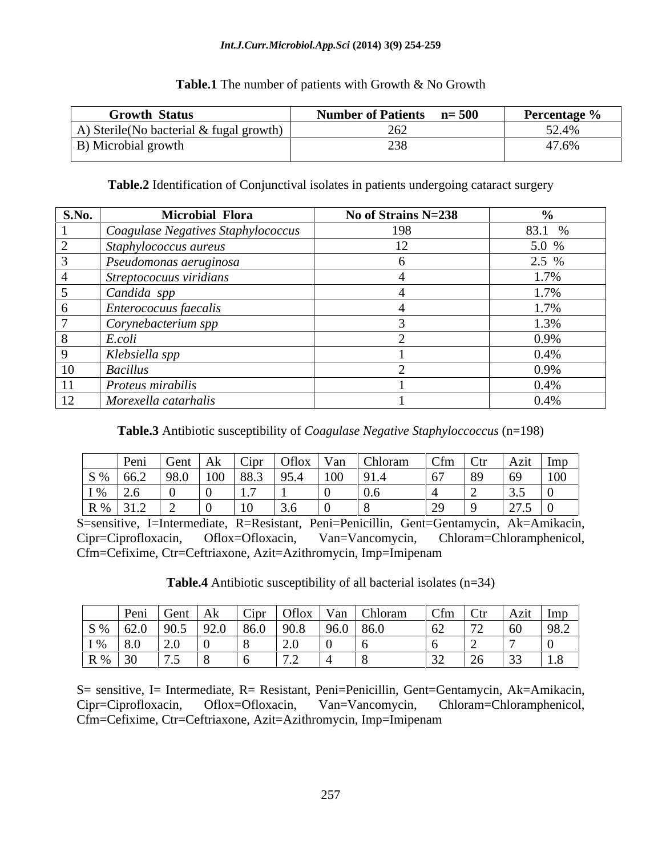### *Int.J.Curr.Microbiol.App.Sci* **(2014) 3(9) 254-259**

### **Table.1** The number of patients with Growth & No Growth

| <b>Number of Patients n</b> =500<br><b>Growth Status</b><br><b>Percentage %</b> |
|---------------------------------------------------------------------------------|
| A) Sterile (No bacterial & fugal growth)                                        |
| B) Microbial growth                                                             |

**Table.2** Identification of Conjunctival isolates in patients undergoing cataract surgery

| S.No. | <b>Microbial Flora</b>             | No of Strains N=238 |         |
|-------|------------------------------------|---------------------|---------|
|       | Coagulase Negatives Staphylococcus | 198                 | 83.1 %  |
|       | Staphylococcus aureus              |                     | 5.0 %   |
|       | Pseudomonas aeruginosa             |                     | $2.5\%$ |
|       | Streptococuus viridians            |                     | $1\%$   |
|       | Candida spp                        |                     | $1.7\%$ |
|       | <i>Enterococuus faecalis</i>       |                     | 1/90    |
|       | Corynebacterium spp                |                     | L 3% I  |
|       |                                    |                     | 0.9%    |
|       | Klebsiella spp                     |                     | 0.4%    |
|       | <i>Bacillus</i>                    |                     | 0.9%    |
|       | Proteus mirabilis                  |                     | 0.4%    |
|       | Morexella catarhalis               |                     | 0.4%    |

**Table.3** Antibiotic susceptibility of *Coagulase Negative Staphyloccoccus* (n=198)

| $\text{Peni}$   $\text{C}$  | Gent |                |        |                  |  | Oflox   Van   Chloram | $\vert$ Cfm $\vert$ Ctr $\vert$ Azit $\vert$ Imp |          |        |                                              |
|-----------------------------|------|----------------|--------|------------------|--|-----------------------|--------------------------------------------------|----------|--------|----------------------------------------------|
| $\vert S\% \vert 66.2$      | 98.0 |                |        | $\overline{C}$   |  | 91.4                  |                                                  | $\Omega$ |        | 100                                          |
| $I\%$ 2.6                   |      |                |        |                  |  | $\sim$ $\sim$         |                                                  |          | $\sim$ |                                              |
| $\mid R\% \mid 31.2 \mid 2$ |      | $\overline{0}$ | $\sim$ | $\sim$<br>$\sim$ |  |                       | $\sim$                                           |          |        | $\sqrt{75}$ 0<br>$\vert$ 4 $\vert$ $\vert$ 0 |

S=sensitive, I=Intermediate, R=Resistant, Peni=Penicillin, Gent=Gentamycin, Ak=Amikacin, Cipr=Ciprofloxacin, Oflox=Ofloxacin, Van=Vancomycin, Chloram=Chloramphenicol, Cfm=Cefixime, Ctr=Ceftriaxone, Azit=Azithromycin, Imp=Imipenam

**Table.4** Antibiotic susceptibility of all bacterial isolates (n=34)

|                                 | Peni Gent   Ak                                     |  |                                |  | $\vert$ Cipr $\vert$ Oflox $\vert$ Van $\vert$ Chloram | $\vert$ Cfm $\vert$ Ctr $\vert$ Azit $\vert$ Imp |                 |                                                       |  |
|---------------------------------|----------------------------------------------------|--|--------------------------------|--|--------------------------------------------------------|--------------------------------------------------|-----------------|-------------------------------------------------------|--|
|                                 | $\vert$ S % $\vert$ 62.0 $\vert$ 90.5 $\vert$ 92.0 |  | $1860$ $190.8$ $196.0$ $186.0$ |  |                                                        | $\sqrt{62}$                                      | $\overline{60}$ | $\overline{\phantom{a}}$ 0.9 $\overline{\phantom{a}}$ |  |
| the contract of the contract of | $1\%$ 8.0                                          |  |                                |  |                                                        |                                                  |                 |                                                       |  |
| $R\%$ 30                        |                                                    |  |                                |  |                                                        |                                                  |                 |                                                       |  |

 S= sensitive, I= Intermediate, R= Resistant, Peni=Penicillin, Gent=Gentamycin, Ak=Amikacin, Cipr=Ciprofloxacin, Oflox=Ofloxacin, Van=Vancomycin, Chloram=Chloramphenicol, Cfm=Cefixime, Ctr=Ceftriaxone, Azit=Azithromycin, Imp=Imipenam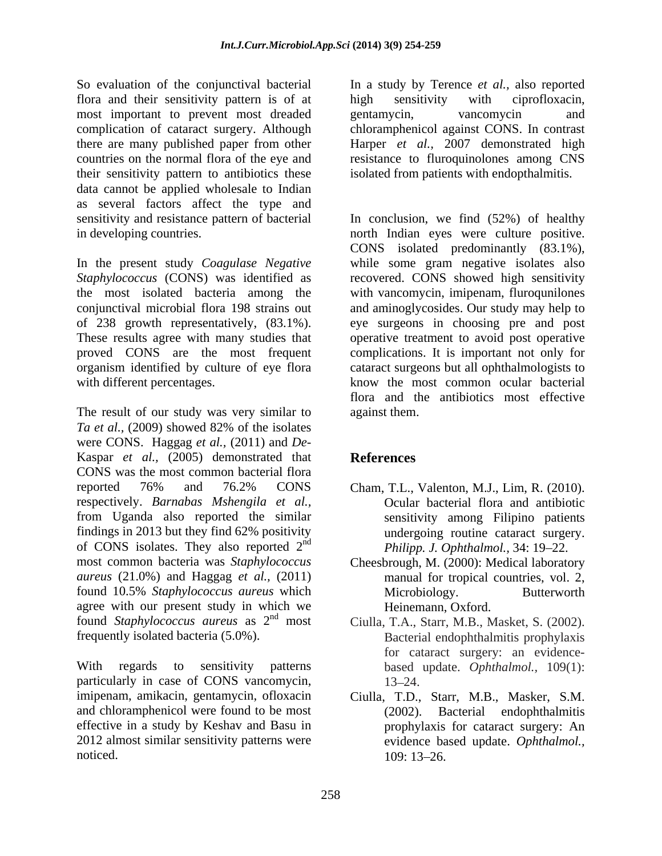So evaluation of the conjunctival bacterial In a study by Terence *et al.,* also reported flora and their sensitivity pattern is of at high sensitivity with ciprofloxacin, most important to prevent most dreaded gentamycin, vancomycin and complication of cataract surgery. Although chloramphenicol against CONS. In contrast there are many published paper from other Harper *et al.,* 2007 demonstrated high countries on the normal flora of the eye and resistance to fluroquinolones among CNS their sensitivity pattern to antibiotics these isolated from patients with endopthalmitis. data cannot be applied wholesale to Indian as several factors affect the type and

In the present study *Coagulase Negative* organism identified by culture of eye flora

The result of our study was very similar to against them. *Ta et al.,* (2009) showed 82% of the isolates were CONS. Haggag *et al.,* (2011) and *De-* Kaspar *et al.,* (2005) demonstrated that CONS was the most common bacterial flora reported 76% and 76.2% CONS Cham, T.L., Valenton, M.J., Lim, R. (2010). respectively. *Barnabas Mshengila et al.,* from Uganda also reported the similar findings in 2013 but they find 62% positivity of CONS isolates. They also reported  $2<sup>nd</sup>$ most common bacteria was *Staphylococcus*  Cheesbrough, M. (2000): Medical laboratory *aureus* (21.0%) and Haggag *et al.,* (2011) found 10.5% *Staphylococcus aureus* which agree with our present study in which we found *Staphylococcus aureus* as  $2<sup>nd</sup>$  most found *Staphylococcus aureus* as 2<sup>nd</sup> most Ciulla, T.A., Starr, M.B., Masket, S. (2002).

With regards to sensitivity patterns based update. *Ophthalmol.,* 109(1): particularly in case of CONS vancomycin, <br>imipenam, amikacin, gentamycin, ofloxacin Ciulla, T.D., Starr, M.B., Masker, S.M. and chloramphenicol were found to be most (2002). Bacterial endophthalmitis effective in a study by Keshav and Basu in 2012 almost similar sensitivity patterns were

high sensitivity with ciprofloxacin, gentamycin, vancomycin and

sensitivity and resistance pattern of bacterial In conclusion, we find (52%) of healthy in developing countries. north Indian eyes were culture positive. *Staphylococcus* (CONS) was identified as recovered. CONS showed high sensitivity the most isolated bacteria among the with vancomycin, imipenam, fluroqunilones conjunctival microbial flora 198 strains out and aminoglycosides. Our study may help to of 238 growth representatively, (83.1%). eye surgeons in choosing pre and post These results agree with many studies that operative treatment to avoid postoperative proved CONS are the most frequent complications. It is important not only for with different percentages. know the most common ocular bacterial CONS isolated predominantly (83.1%), while some gram negative isolates also cataract surgeons but all ophthalmologists to flora and the antibiotics most effective against them.

# **References**

- nd *Philipp. J. Ophthalmol.*, 34: 19–22. Ocular bacterial flora and antibiotic sensitivity among Filipino patients undergoing routine cataract surgery.
	- manual for tropical countries, vol. 2, Microbiology. Butterworth Heinemann, Oxford.
- frequently isolated bacteria (5.0%). Bacterial endophthalmitis prophylaxis for cataract surgery: an evidence- 13–24.
- noticed. 109: 13–26. Ciulla, T.D., Starr, M.B., Masker, S.M. (2002). Bacterial endophthalmitis prophylaxis for cataract surgery: An evidence based update. *Ophthalmol.,* 109: 13–26.